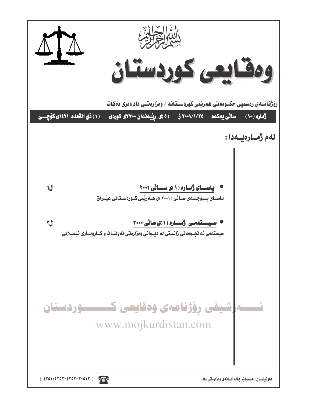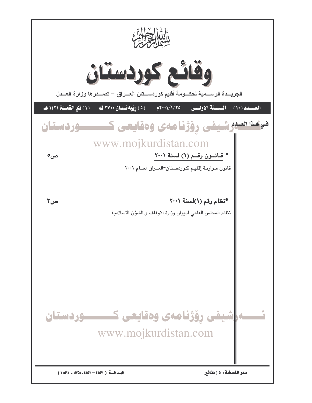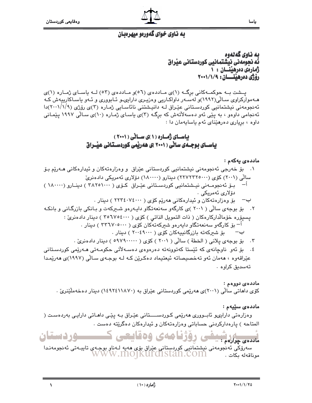

# په ناوي خواي گهوريو ميهروپان

ىە ناوي گەلەوە فَّه نحوِّمه ني نبِشَتمانيي كوردستاني عبْراق زمارهى دەرھىنسان : ١ رۆژى دەرھىتــان : ١/١/٩٠٠

یسشت به حوکمه کانی برگ (۱)ی ماددهی (۵٦)و ماددهی (٥٣) لـه پاسای ژماره (۱)ی هـه موارکراوی سـالّی(۱۹۹۲)و لهسـه ر داواکـاریی وهزیـری دارایـهـو ئـابووری و ئـهو یاسـاکارییهش کـه ئەنجومەنى نیشتمانیى كوردستانى عێراق لـه دانیشتنى نائاسـايى ژمـارە (٣)ى رۆژى (١/١/١٠١/١)دا ئهنجامی داوهو ، به پێی ئهو دهسهلأتهش که برگـه (۳)ی یاسـای ژمـاره (۱۰)ی سـالّی ۱۹۹۷ پێمـانی داوه ، برياري دەرھێناي ئەم ياسايەمان دا :

> باسای ژماره (۱)ی سالی (۲۰۰۱) یاســای بوچـــهی سانی ( ۲۰۰۱ )ی ههریمی کوردســتانی عیبــراق

#### ماددەي يەكەم :

ياسا

- ۰۱ بۆ خەرجى ئەنجومەنى نىشتمانىي كوردستانى عێراق و وەزارەتەكان و ئىدارەكانى ھـەرێم بـۆ سالگی (۲۰۰۱) کۆی (۲۲۲۲۲۵۰۰۰) دینارو (۱۸۰۰۰۰) دۆلاری ئەمریکی دادەنری بِیْ ئەنجومبەنی نیشتمانیی کوردستانی عیّراق کوّی ( ۳۸۲۵۱۰۰۰ ) دینیارو (۱۸۰۰۰۰ )  $-\iota$ دۆلارى ئەمرىكى . ب– بۆ وەزارەتەكان و ئىدارەكانى ھەريم كۆي ( ٢٢٣٤٠٧٤٠٠٠ ) دىنار . ۲. بۆ بوجەی سالّی ( ۲۰۰۱ )ی کارگەو سەنعەتگاو دايـەرەو شـىركەت و بـانكى بازرگـانی و بانكـه
	- پسپۆرە خۆمالداركارەكان ( ذات التمويل الذاتى ) كۆي ( ٣٥٦٧٥٤٠٠٠ ) دينار دادەنرى : اً– ىۆ كارگەو سەنعەتگاو دايەرەو شىركەتەكان كۆي ( ٣٣٦٧٠٥٠٠٠ ) دىنار .
		- بۆ شىركەتە بازرگانىيەكان كۆي ( ٢٠٠٤٩٠٠٠ ) دېنار . ب— ۴. بِقِ بِوجِهِي بِلانِي ( الخطة ) سالِّي ( ۲۰۰۱ ) كَوْيِ ( ۹٬۷۹۰۰۰۰ ) دينار دادهنريِّ .
- ٤. بۆ ئەو ناوچانەي كە ئێستا كەتوونەتە دەرەوەي دەسـەلأتى حكومـەتى ھـەرێمى كوردسـتانى عٽراقهوه ، ههمان ئهو تهخصيصاته ئيعتيماد دهكرين كـه لـه بوجـهي سـالّي (١٩٩٧)ي ههريمدا
	- تەسدىق كراوھ .

#### ماددە*ى د*ووەم :

کۆی داهاتی سالّی (۲۰۰۱)ی هەرپیمی کوردستانی عیّراق به (۱۱۸۷۰×۱٤۹۲) دینار دەخەملَیّنریّ .

#### ماددەي سێپەم :

وەزارەتى دارايىھو ئابــوررى ھەرێمى كـوردســـــتانى عێـراق بــە يێـى داھـاتى دارايـى بەردەسـت ( المتاحه ) پارهدارکردنی حساباتی وهزارهتهکان و ئیدارهکان دهگریته دهست .

كمستسبور ديستان روزيامه يه هقاي مادده *ی* چوارهم <del>: ۱۰۰</del>

سەرۆكى ئەنجومەنى نېشتمانىي كوردستانى عێراق بۆى ھەپە لـەناڧ بوجـەي تايبـەتى ئەنجومەنـدا<br>اقەلە بكات . موناقەلە بكات .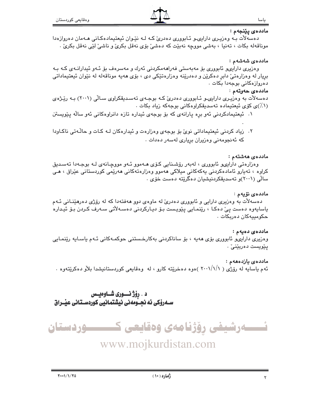#### ماددەي يێنجەم :

ياسا

دهسهلات بـه وهزیـری دارایـیو ئـابووری دهدریّ کـه لـه نێـوان ئیعتیمادهکـانی هـهمان دهروازهدا موناقەلە بكات ، تەنيا ، بەشى مووچە نەبێت كە دەشىٰ بۆي نەقل بكرىٰ و ناشىٰ لێې نەقل بكرىٰ .

#### ماددەي شەشەم :

وەزیری دارایىھ ئابوورى بۆ مەبەستى فەراھەمكردنى ئەرك و مەسرەف بۆ ئـەو ئیدارانـەی كـە بـە بریار له وهزارهتیٌ دابر دهکریْن و دهدریْنه وهزارهتیْکی دی ، بۆی هەپه موناقەلە لە نیْوان ئیعتیماداتی دەروازەكانى بوجەدا بكات .

### ماددەى جەوتەم :

دهسهلات به وهزیری دارایهیو ئـابووری دهدریّ کـه بوجـهی تهسـدیقکراوی سـالّی (۲۰۰۱) بـه رێـژهی (۰٪)ی کۆي ئیعتیماده تەسدىقکراوەکانى بوجەکە زياد بکات .

- ۰۱ ئیعتیمادکردنی ئەو برە یارانەی کە بۆ بوجەی ئیدارە تازە دانراوەکانی ئەو سالّە يـێويستن
- ۲. زیاد کردنی ئیعتیماداتی نویٰ بۆ بوجەی وەزارەت و ئیدارەکان لـه کـات و حالّـهتی ناکـاودا که ئەنجومەنى وەزيران بريارى لەسەر دەدات .

#### ماددەى ھەشتەم :

وەزارەتى دارايىھو ئابوورى ، لەبەر رۆشىنايى كۆى ھـەموو ئـەو مووچـانەي لـە بوجـەدا تەسـدىق کراوہ ، تەيارو ئامادەکردنى يەكەكانى ميلاكى ھەموو وەزارەتەكانى ھەرێمى كوردستانى عێراق ، ھـى سالّی (۲۰۰۱)و تەسدىقكردنيشيان دەگرێتە دەست خۆی .

# ماددەي نۆيەم :

دهسهلاٌت به وهزیری دارایی و ئابووری دهدریّ له ماوهی دوو ههفتهدا که له رۆژی دهرهیٌنـانی ئـهم ياسايەوە دەست يېّ دەكـا ، رێنمـايى پێويـست بـۆ ديـاركردنى دەسـەلاتى سـەرف كـردن بـۆ ئيـدارە حکومىيەكان دەربكات .

# ماددەى دەيەم :

وەزیری دارایىھو ئابوورى بۆی ھەپە ، بۆ ساناكردنى بەكارخىستنى حوكمـەكانى ئـەم ياسـايە رێنمـايى پێویست دەربێنىٚ ٠

#### ماددەي يازدەھەم :

ئهم ياسايه له رۆژى ( ۲۰۰۱/۱/۱ )ەوە دەخرىتە كارو ، له وەقايعى كوردستانيشدا بلاّو دەكريتەوە .

# د . رۆژ نسورى شــاوەيــس سـەرۆكى ئە نجــومەنى نيشتمانيى كوردسـتانى عيــراق



www.mojkurdistan.com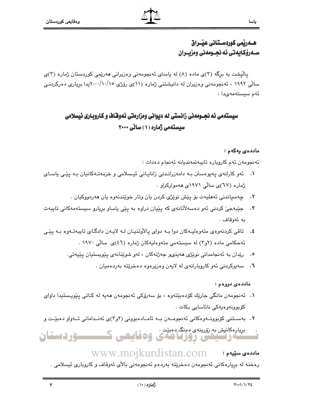# هــهريمى كوردسـتانى عيــراق ســهرۆكـايەتى ئە نجــومەنى وەزيــران

یالیشت به برگه (۳)ی ماده (۸) له یاسای ئهنجومهنی وهزیرانی ههریمی کوردستان ژماره (۳)ی سالی ۱۹۹۲ ، ئەنجومەنی وەزیران لە دانیشتنی ژمارە (۱۱)ی رۆژی ۲۰۰۰/۱۰/۱۰ بدا بریاری دەرکردنـی ئەم سىستەمەيدا :

# سیستهمی ئه نجــومهنی زانستی له دیوانی ومزارهتی ئهوفـّاف و کـاروبـاری ئیسلامی سیستهمی ژماره (۱) سانی ۲۰۰۰

#### ماددەي يەكەم :

ياسا

ئەنجومەن ئەم كاروپارە تايبەتمەنديانە ئەنجام دەدات :

- ۰۱ ئەوكارانەي يەيوەستن بـه دامەزرانـدنى زانايـانى ئيـسلامى و خزمەتـەكانيان بـه يێى ياسـاى ژماره (٦٧)ي سالي ١٩٧١ي ههموارکراو .
	- ٢. ڇهسياندني ئههليهت بِي پِيش نويْژي کردن بان وتار خويندنهوه بان ههردووکيان .
- ۴. جێبهجيٚ کردني ئهو دهسهلاٌتانهي که پێپان دراوه به پێي پاساو برپارو سيستهمهکاني تايبهت به ئەوقاف .
- ٤. تاقي کردنهوهي متهوهليـهکان دوا بـه دواي پالاوتنيـان لـه لايـهن دادگـاي تايبهتـهوه بـه يێي ئه حکامی ماده (۲و۲) له سیستهمی متهوهلیهکان ژماره (٤٦)ی سالی ۱۹۷۰ .
	- ۰. رێدان به ئەنجامدانی نوێژی هەينى، جەژنەكان ، لەو شوێنانەی يێويستيان يێيەتی.
		- ٠٦ سه پرکردنی ئهو کاروبارانهي له لايهن وهزيرهوه دهخريته بهردهميان .

#### ماددەي دووەم :

- ۰۱ ئەنجومەن مانگى جارێك كۆدەبێتەوە ، بۆ سەرۆكى ئەنجومەن ھەپە لە كـاتى يێويـستيدا داواي كۆبوونەوەيەكى نائاسايى بكات .
- ۲. بەسىتنى كۆبوونىەوەكانى ئەنجومىەن بىە ئامىادەبوونى (٢و٣)ى ئەنىدامانى تىەواو دەبيىت و

بپیارهکانیش به نقرینهی دوبیت .<br>سامولسیکی ووژگاههای وهقاییعی کسیسسور دستان

# WWW.MOJkurdistan.com : ماددهی سنیهم

رەخنە لە بريارەكانى ئەنجومەن دەخرێتە بەردەم ئەنجومەنى بالأى ئەوقاف و كاروبارى ئيسلامى .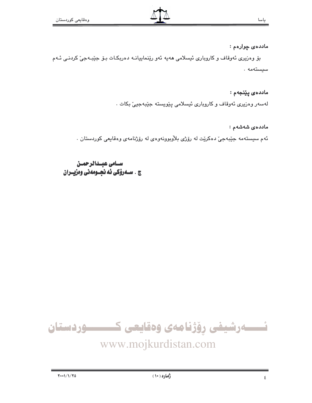# ماددەى چوارەم :

بۆ وەزيرى ئەوقاف و كاروبارى ئيسلامى ھەيە ئەو رێنماييانــه دەربكـات بـۆ جێبـەجىٚ كردنـى ئــەم سيستەمە .

ماددەى يېنجەم :

لەسەر وەزیری ئەوقاف و کاروباری ئیسلامی پێویستە جێبەجیێ بکات ٠

ماددەي شەشەم :

ئهم سیستهمه جێبهجیّ دهکریّت له رۆژی بلاْوبوونهوهی له رۆژنامهی وهقایعی کوردستان .

سنامى عيندالرحمين ج . ســهرۆكى ئه نجــومەنى وەزيــران

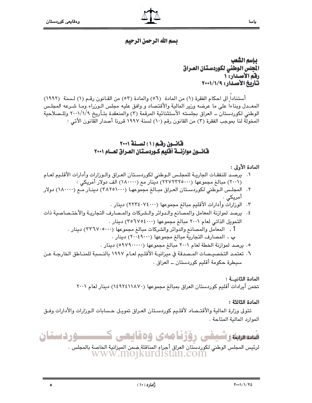$\delta$ 

#### ياسا

# يسم الله الرحمن الرحيم

# يإسم الشعب الجلس الوطني لكوردستان العراق رقم الأصدار: ١ تاريخ الأصدار: ١/١/١٠٠٩

أستنادا إلى احكام الفقرة (١) من المادة (٥٦) والمادة (٥٣) من القانون رقم (١) لسنة (١٩٩٢) المعــدل وبناءا على ما عرضه وزير المالية والأقتصاد و وافق عليه مجلس الـوزراء ومـا شـرعه المجلـس الوطني لكوردستان ــ العراق بجلسته الأستثنائية المرقمة (٣) والمنعقدة بتـأريخ ٢٠٠١/١/٩ وللـصلاحية المخولة لنا بموجب الفقرة (٣) من القانون رقم (١٠) لسنة ١٩٩٧ قررنا أصدار القانون الأتي :

# قانسون رقبم (١) لسسنة ٢٠٠١ فانسون موازنسة أفليم كـوردسـتـان الصـراق لصــام ٢٠٠١

#### المادة الأولى :

- ١. يرصد للنفقـات الجاريـة للمجلـس الـوطني لكوردسـتان العـراق والـورارات وأدارات الأقلـيم لعـام (۲۰۰۱) مبالغ مجموعها (۲۲۷۲۲۲۵۰۰۰) دینار مع (۱۸۰۰۰۰) الف دولار أمریکی :
- ۲. المجلس الـوطني لكوردسـتان العـراق مبـالـغ مجموعهـا (٣٨٢٥١٠٠٠) دينـار مــع (١٨٠٠٠٠) دولار آمریکی
	- ٣. الوزارات وأدارات الأقليم مبالغ مجموعها (٢٢٢٤٠٧٤٠٠٠) دينار .
- ٤. يرصد لموازنة المعامل والمصانع والـدوائر والـشركات والمـصارف التجاريـة والأختـصاصية ذات التمويل الذاتي لعام ٢٠٠١ مبالغ مجموعها (٣٥٦٧٥٤٠٠٠) دينار . أ. المعامل والمصانع والدوائر والشركات مبالغ مجموعها (٣٣٦٧٠٥٠٠٠) دينار. ب . المصارف التجارية مبالغ مجموعها (٢٠٠٤٩٠٠٠) دينار .
	- ٥. يرصد لموازنة الخطة لعام ٢٠٠١ مبالغ مجموعها (٥٩٧٩٠٠٠٠٠) دينار .
- ٦. تعتمد التخصيـصات المـصدقة في ميزانيــة الأقلـيم لعـام ١٩٩٧ بالنـسبة للمنـاطق الخارجـة عـن سيطرة حكومة أقليم كوردستان ــ العراق ٠

#### المادة الثانيــة :

تخمن أيرادات أقليم كوردستان العراق بمبالغ مجموعها (١٤٩٢٤١١٨٧٠) دينار لعام ٢٠٠١

#### المادة الثالثة :

تتولى وزارة المالية والأقتـصاد لأقلـيم كوردسـتان العـراق تمويـل حـسابات الـوزارات والأدارات وفـق الموارد المالية المتاحة.



لرئيس المجلس الوطني لكوردستان العراق أجراء المناقلة ضمن الميزانية الخاصة بالمجلس .<br>WWW .INO1KUIC1Stan.COM